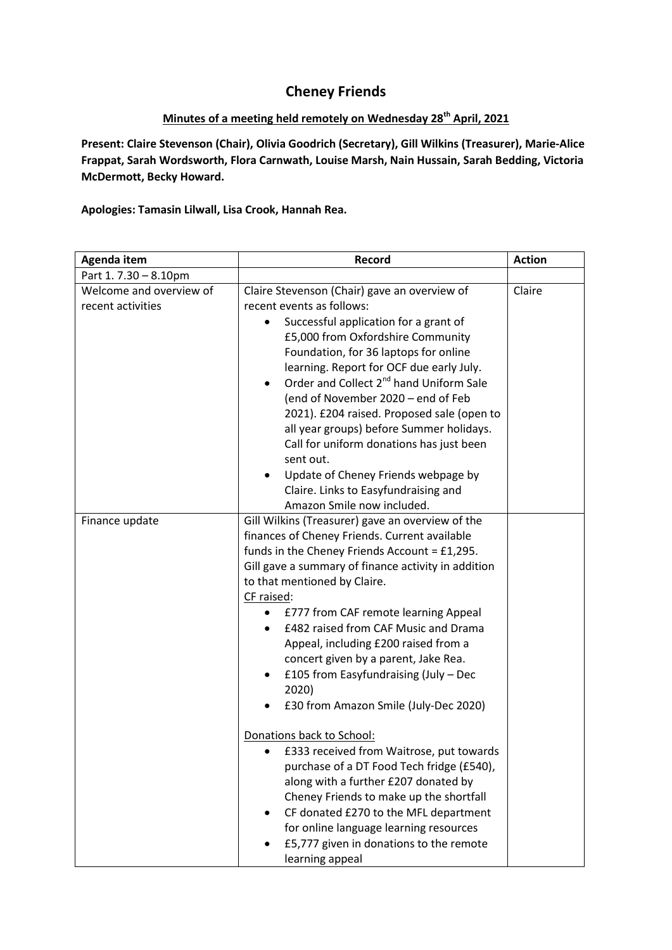## **Cheney Friends**

## **Minutes of a meeting held remotely on Wednesday 28th April, 2021**

**Present: Claire Stevenson (Chair), Olivia Goodrich (Secretary), Gill Wilkins (Treasurer), Marie-Alice Frappat, Sarah Wordsworth, Flora Carnwath, Louise Marsh, Nain Hussain, Sarah Bedding, Victoria McDermott, Becky Howard.**

**Apologies: Tamasin Lilwall, Lisa Crook, Hannah Rea.**

| Agenda item                                  | Record                                                                                                                                                                                                                                                                                                                                                                                                                                                                                                                                                                                                                              | <b>Action</b> |
|----------------------------------------------|-------------------------------------------------------------------------------------------------------------------------------------------------------------------------------------------------------------------------------------------------------------------------------------------------------------------------------------------------------------------------------------------------------------------------------------------------------------------------------------------------------------------------------------------------------------------------------------------------------------------------------------|---------------|
| Part 1.7.30 - 8.10pm                         |                                                                                                                                                                                                                                                                                                                                                                                                                                                                                                                                                                                                                                     |               |
| Welcome and overview of<br>recent activities | Claire Stevenson (Chair) gave an overview of<br>recent events as follows:<br>Successful application for a grant of<br>$\bullet$<br>£5,000 from Oxfordshire Community<br>Foundation, for 36 laptops for online<br>learning. Report for OCF due early July.<br>Order and Collect 2 <sup>nd</sup> hand Uniform Sale<br>$\bullet$<br>(end of November 2020 - end of Feb<br>2021). £204 raised. Proposed sale (open to<br>all year groups) before Summer holidays.<br>Call for uniform donations has just been<br>sent out.<br>Update of Cheney Friends webpage by<br>Claire. Links to Easyfundraising and<br>Amazon Smile now included. | Claire        |
| Finance update                               | Gill Wilkins (Treasurer) gave an overview of the<br>finances of Cheney Friends. Current available<br>funds in the Cheney Friends Account = £1,295.<br>Gill gave a summary of finance activity in addition<br>to that mentioned by Claire.<br>CF raised:<br>£777 from CAF remote learning Appeal<br>$\bullet$<br>£482 raised from CAF Music and Drama<br>$\bullet$<br>Appeal, including £200 raised from a<br>concert given by a parent, Jake Rea.<br>£105 from Easyfundraising (July - Dec<br>2020)<br>£30 from Amazon Smile (July-Dec 2020)                                                                                        |               |
|                                              | Donations back to School:<br>£333 received from Waitrose, put towards<br>٠<br>purchase of a DT Food Tech fridge (£540),<br>along with a further £207 donated by<br>Cheney Friends to make up the shortfall<br>CF donated £270 to the MFL department<br>for online language learning resources<br>£5,777 given in donations to the remote<br>learning appeal                                                                                                                                                                                                                                                                         |               |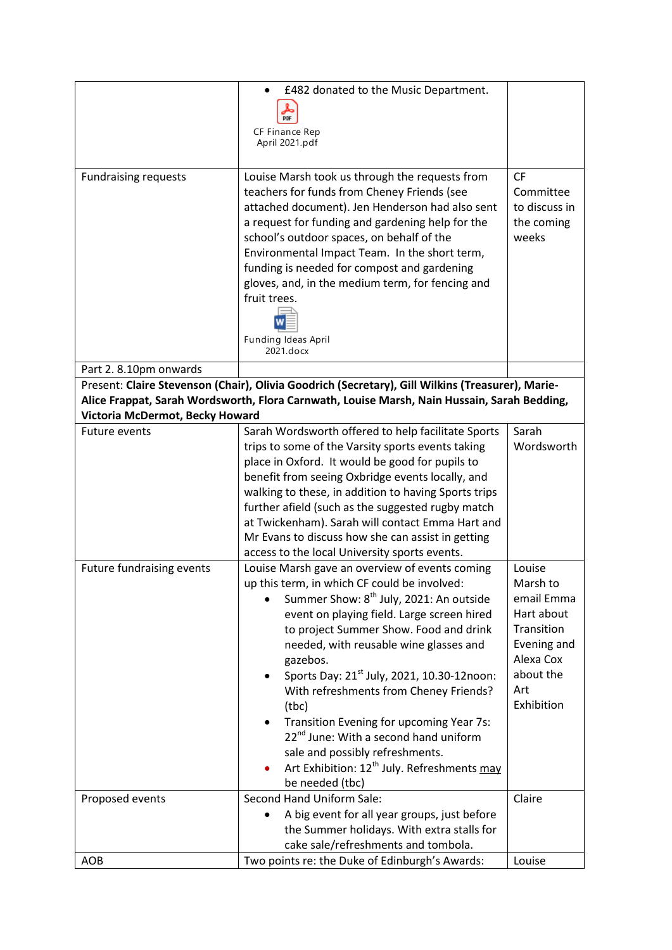| <b>Fundraising requests</b>     | £482 donated to the Music Department.<br>CF Finance Rep<br>April 2021.pdf<br>Louise Marsh took us through the requests from<br>teachers for funds from Cheney Friends (see<br>attached document). Jen Henderson had also sent                                                                                                                                                                                                                                                                                                                                                                                                      | CF<br>Committee<br>to discuss in                                                                                           |
|---------------------------------|------------------------------------------------------------------------------------------------------------------------------------------------------------------------------------------------------------------------------------------------------------------------------------------------------------------------------------------------------------------------------------------------------------------------------------------------------------------------------------------------------------------------------------------------------------------------------------------------------------------------------------|----------------------------------------------------------------------------------------------------------------------------|
|                                 | a request for funding and gardening help for the<br>school's outdoor spaces, on behalf of the<br>Environmental Impact Team. In the short term,<br>funding is needed for compost and gardening<br>gloves, and, in the medium term, for fencing and<br>fruit trees.<br>Funding Ideas April<br>2021.docx                                                                                                                                                                                                                                                                                                                              | the coming<br>weeks                                                                                                        |
| Part 2.8.10pm onwards           |                                                                                                                                                                                                                                                                                                                                                                                                                                                                                                                                                                                                                                    |                                                                                                                            |
|                                 | Present: Claire Stevenson (Chair), Olivia Goodrich (Secretary), Gill Wilkins (Treasurer), Marie-                                                                                                                                                                                                                                                                                                                                                                                                                                                                                                                                   |                                                                                                                            |
|                                 | Alice Frappat, Sarah Wordsworth, Flora Carnwath, Louise Marsh, Nain Hussain, Sarah Bedding,                                                                                                                                                                                                                                                                                                                                                                                                                                                                                                                                        |                                                                                                                            |
| Victoria McDermot, Becky Howard |                                                                                                                                                                                                                                                                                                                                                                                                                                                                                                                                                                                                                                    |                                                                                                                            |
| <b>Future events</b>            | Sarah Wordsworth offered to help facilitate Sports<br>trips to some of the Varsity sports events taking<br>place in Oxford. It would be good for pupils to<br>benefit from seeing Oxbridge events locally, and<br>walking to these, in addition to having Sports trips<br>further afield (such as the suggested rugby match<br>at Twickenham). Sarah will contact Emma Hart and<br>Mr Evans to discuss how she can assist in getting<br>access to the local University sports events.                                                                                                                                              | Sarah<br>Wordsworth                                                                                                        |
| Future fundraising events       | Louise Marsh gave an overview of events coming<br>up this term, in which CF could be involved:<br>Summer Show: 8 <sup>th</sup> July, 2021: An outside<br>event on playing field. Large screen hired<br>to project Summer Show. Food and drink<br>needed, with reusable wine glasses and<br>gazebos.<br>Sports Day: 21 <sup>st</sup> July, 2021, 10.30-12noon:<br>With refreshments from Cheney Friends?<br>(tbc)<br>Transition Evening for upcoming Year 7s:<br>22 <sup>nd</sup> June: With a second hand uniform<br>sale and possibly refreshments.<br>Art Exhibition: 12 <sup>th</sup> July. Refreshments may<br>be needed (tbc) | Louise<br>Marsh to<br>email Emma<br>Hart about<br>Transition<br>Evening and<br>Alexa Cox<br>about the<br>Art<br>Exhibition |
| Proposed events                 | Second Hand Uniform Sale:                                                                                                                                                                                                                                                                                                                                                                                                                                                                                                                                                                                                          | Claire                                                                                                                     |
|                                 | A big event for all year groups, just before<br>the Summer holidays. With extra stalls for                                                                                                                                                                                                                                                                                                                                                                                                                                                                                                                                         |                                                                                                                            |
|                                 | cake sale/refreshments and tombola.                                                                                                                                                                                                                                                                                                                                                                                                                                                                                                                                                                                                |                                                                                                                            |
| AOB                             | Two points re: the Duke of Edinburgh's Awards:                                                                                                                                                                                                                                                                                                                                                                                                                                                                                                                                                                                     | Louise                                                                                                                     |